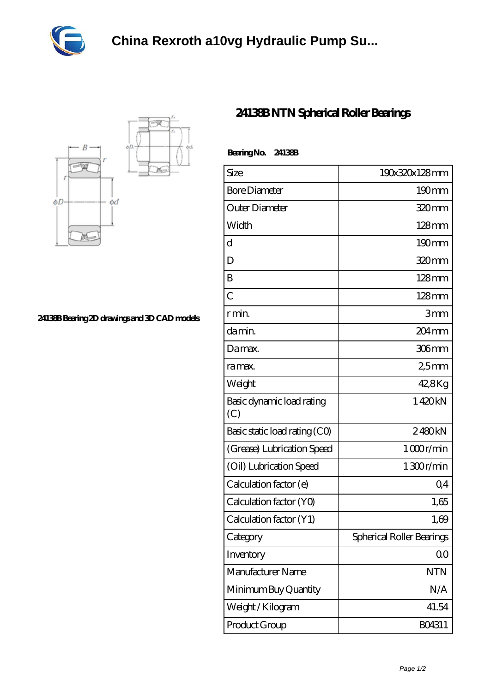



**[24138B Bearing 2D drawings and 3D CAD models](https://www.szarkant.org/pic-1107041.html)**

## **[24138B NTN Spherical Roller Bearings](https://www.szarkant.org/thrust-spherical-roller-bearing/24138b.html)**

| Bearing No. 24138B               |                           |
|----------------------------------|---------------------------|
| Size                             | 190x320x128mm             |
| <b>Bore Diameter</b>             | 190mm                     |
| Outer Diameter                   | 320mm                     |
| Width                            | $128$ mm                  |
| d                                | $190 \text{mm}$           |
| D                                | 320 <sub>mm</sub>         |
| B                                | $128$ mm                  |
| $\overline{C}$                   | $128 \text{mm}$           |
| r min.                           | 3mm                       |
| da min.                          | 204 <sub>mm</sub>         |
| Damax.                           | 306mm                     |
| ra max.                          | 25mm                      |
| Weight                           | 42,8Kg                    |
| Basic dynamic load rating<br>(C) | 1420kN                    |
| Basic static load rating (CO)    | 2480kN                    |
| (Grease) Lubrication Speed       | 1000r/min                 |
| (Oil) Lubrication Speed          | 1300r/min                 |
| Calculation factor (e)           | $Q_4$                     |
| Calculation factor (YO)          | 1,65                      |
| Calculation factor (Y1)          | 1,69                      |
| Category                         | Spherical Roller Bearings |
| Inventory                        | 00                        |
| Manufacturer Name                | <b>NTN</b>                |
| Minimum Buy Quantity             | N/A                       |
| Weight / Kilogram                | 41.54                     |
| Product Group                    | BO4311                    |